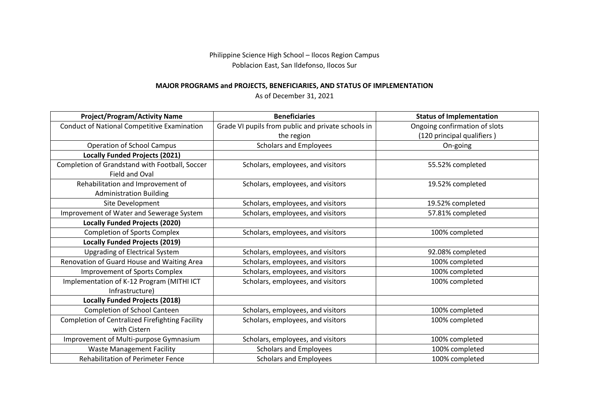Philippine Science High School – Ilocos Region Campus Poblacion East, San Ildefonso, Ilocos Sur

## **MAJOR PROGRAMS and PROJECTS, BENEFICIARIES, AND STATUS OF IMPLEMENTATION**

As of December 31, 2021

| <b>Project/Program/Activity Name</b>                                | <b>Beneficiaries</b>                               | <b>Status of Implementation</b> |
|---------------------------------------------------------------------|----------------------------------------------------|---------------------------------|
| <b>Conduct of National Competitive Examination</b>                  | Grade VI pupils from public and private schools in | Ongoing confirmation of slots   |
|                                                                     | the region                                         | (120 principal qualifiers)      |
| <b>Operation of School Campus</b>                                   | <b>Scholars and Employees</b>                      | On-going                        |
| <b>Locally Funded Projects (2021)</b>                               |                                                    |                                 |
| Completion of Grandstand with Football, Soccer<br>Field and Oval    | Scholars, employees, and visitors                  | 55.52% completed                |
| Rehabilitation and Improvement of<br><b>Administration Building</b> | Scholars, employees, and visitors                  | 19.52% completed                |
| Site Development                                                    | Scholars, employees, and visitors                  | 19.52% completed                |
| Improvement of Water and Sewerage System                            | Scholars, employees, and visitors                  | 57.81% completed                |
| <b>Locally Funded Projects (2020)</b>                               |                                                    |                                 |
| <b>Completion of Sports Complex</b>                                 | Scholars, employees, and visitors                  | 100% completed                  |
| <b>Locally Funded Projects (2019)</b>                               |                                                    |                                 |
| <b>Upgrading of Electrical System</b>                               | Scholars, employees, and visitors                  | 92.08% completed                |
| Renovation of Guard House and Waiting Area                          | Scholars, employees, and visitors                  | 100% completed                  |
| <b>Improvement of Sports Complex</b>                                | Scholars, employees, and visitors                  | 100% completed                  |
| Implementation of K-12 Program (MITHI ICT<br>Infrastructure)        | Scholars, employees, and visitors                  | 100% completed                  |
| <b>Locally Funded Projects (2018)</b>                               |                                                    |                                 |
| Completion of School Canteen                                        | Scholars, employees, and visitors                  | 100% completed                  |
| Completion of Centralized Firefighting Facility<br>with Cistern     | Scholars, employees, and visitors                  | 100% completed                  |
| Improvement of Multi-purpose Gymnasium                              | Scholars, employees, and visitors                  | 100% completed                  |
| <b>Waste Management Facility</b>                                    | <b>Scholars and Employees</b>                      | 100% completed                  |
| <b>Rehabilitation of Perimeter Fence</b>                            | <b>Scholars and Employees</b>                      | 100% completed                  |